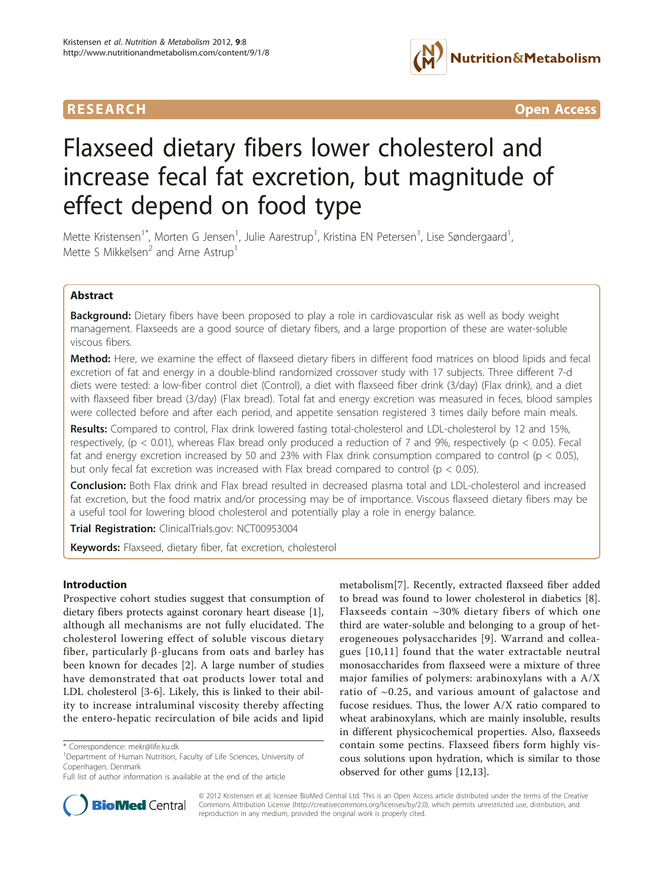

**RESEARCH CONTROL** CONTROL CONTROL CONTROL CONTROL CONTROL CONTROL CONTROL CONTROL CONTROL CONTROL CONTROL CONTROL CONTROL CONTROL CONTROL CONTROL CONTROL CONTROL CONTROL CONTROL CONTROL CONTROL CONTROL CONTROL CONTROL CON

# Flaxseed dietary fibers lower cholesterol and increase fecal fat excretion, but magnitude of effect depend on food type

Mette Kristensen<sup>1\*</sup>, Morten G Jensen<sup>1</sup>, Julie Aarestrup<sup>1</sup>, Kristina EN Petersen<sup>1</sup>, Lise Søndergaard<sup>1</sup> , Mette S Mikkelsen<sup>2</sup> and Arne Astrup<sup>1</sup>

# Abstract

**Background:** Dietary fibers have been proposed to play a role in cardiovascular risk as well as body weight management. Flaxseeds are a good source of dietary fibers, and a large proportion of these are water-soluble viscous fibers.

Method: Here, we examine the effect of flaxseed dietary fibers in different food matrices on blood lipids and fecal excretion of fat and energy in a double-blind randomized crossover study with 17 subjects. Three different 7-d diets were tested: a low-fiber control diet (Control), a diet with flaxseed fiber drink (3/day) (Flax drink), and a diet with flaxseed fiber bread (3/day) (Flax bread). Total fat and energy excretion was measured in feces, blood samples were collected before and after each period, and appetite sensation registered 3 times daily before main meals.

Results: Compared to control, Flax drink lowered fasting total-cholesterol and LDL-cholesterol by 12 and 15%, respectively, ( $p < 0.01$ ), whereas Flax bread only produced a reduction of 7 and 9%, respectively ( $p < 0.05$ ). Fecal fat and energy excretion increased by 50 and 23% with Flax drink consumption compared to control ( $p < 0.05$ ), but only fecal fat excretion was increased with Flax bread compared to control ( $p < 0.05$ ).

**Conclusion:** Both Flax drink and Flax bread resulted in decreased plasma total and LDL-cholesterol and increased fat excretion, but the food matrix and/or processing may be of importance. Viscous flaxseed dietary fibers may be a useful tool for lowering blood cholesterol and potentially play a role in energy balance.

Trial Registration: ClinicalTrials.gov: [NCT00953004](http://www.clinicaltrials.gov/ct2/show/NCT00953004)

Keywords: Flaxseed, dietary fiber, fat excretion, cholesterol

# Introduction

Prospective cohort studies suggest that consumption of dietary fibers protects against coronary heart disease [\[1](#page-7-0)], although all mechanisms are not fully elucidated. The cholesterol lowering effect of soluble viscous dietary fiber, particularly  $\beta$ -glucans from oats and barley has been known for decades [[2](#page-7-0)]. A large number of studies have demonstrated that oat products lower total and LDL cholesterol [\[3](#page-7-0)-[6\]](#page-7-0). Likely, this is linked to their ability to increase intraluminal viscosity thereby affecting the entero-hepatic recirculation of bile acids and lipid

Full list of author information is available at the end of the article



**BioMed** Central

© 2012 Kristensen et al; licensee BioMed Central Ltd. This is an Open Access article distributed under the terms of the Creative Commons Attribution License [\(http://creativecommons.org/licenses/by/2.0](http://creativecommons.org/licenses/by/2.0)), which permits unrestricted use, distribution, and reproduction in any medium, provided the original work is properly cited.

<sup>\*</sup> Correspondence: [mekr@life.ku.dk](mailto:mekr@life.ku.dk)

<sup>&</sup>lt;sup>1</sup>Department of Human Nutrition, Faculty of Life Sciences, University of Copenhagen, Denmark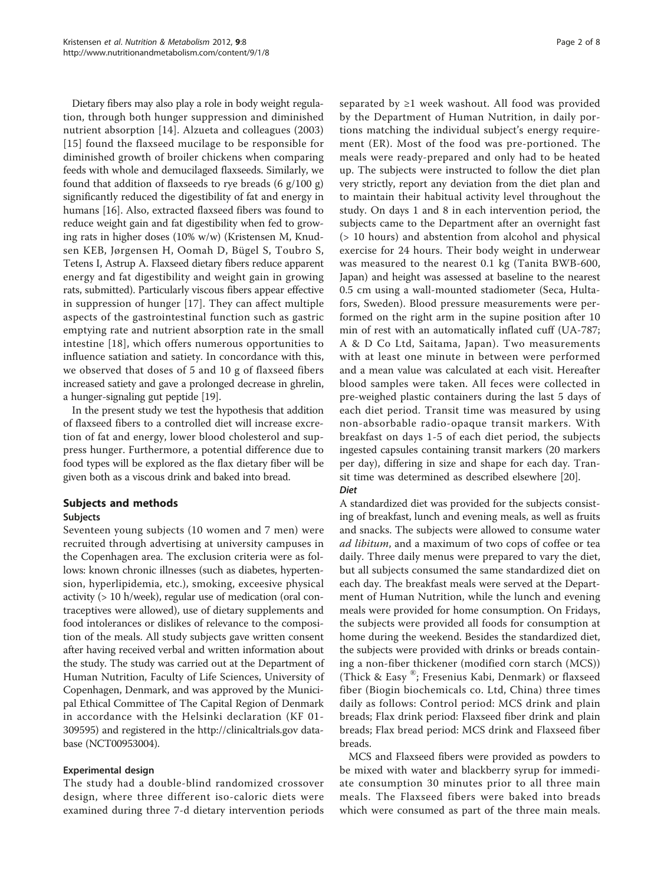Dietary fibers may also play a role in body weight regulation, through both hunger suppression and diminished nutrient absorption [\[14\]](#page-7-0). Alzueta and colleagues (2003) [[15](#page-7-0)] found the flaxseed mucilage to be responsible for diminished growth of broiler chickens when comparing feeds with whole and demucilaged flaxseeds. Similarly, we found that addition of flaxseeds to rye breads  $(6 \text{ g}/100 \text{ g})$ significantly reduced the digestibility of fat and energy in humans [\[16\]](#page-7-0). Also, extracted flaxseed fibers was found to reduce weight gain and fat digestibility when fed to growing rats in higher doses (10% w/w) (Kristensen M, Knudsen KEB, Jørgensen H, Oomah D, Bügel S, Toubro S, Tetens I, Astrup A. Flaxseed dietary fibers reduce apparent energy and fat digestibility and weight gain in growing rats, submitted). Particularly viscous fibers appear effective in suppression of hunger [[17\]](#page-7-0). They can affect multiple aspects of the gastrointestinal function such as gastric emptying rate and nutrient absorption rate in the small intestine [[18](#page-7-0)], which offers numerous opportunities to influence satiation and satiety. In concordance with this, we observed that doses of 5 and 10 g of flaxseed fibers increased satiety and gave a prolonged decrease in ghrelin, a hunger-signaling gut peptide [[19](#page-7-0)].

In the present study we test the hypothesis that addition of flaxseed fibers to a controlled diet will increase excretion of fat and energy, lower blood cholesterol and suppress hunger. Furthermore, a potential difference due to food types will be explored as the flax dietary fiber will be given both as a viscous drink and baked into bread.

# Subjects and methods

# Subjects

Seventeen young subjects (10 women and 7 men) were recruited through advertising at university campuses in the Copenhagen area. The exclusion criteria were as follows: known chronic illnesses (such as diabetes, hypertension, hyperlipidemia, etc.), smoking, exceesive physical activity (> 10 h/week), regular use of medication (oral contraceptives were allowed), use of dietary supplements and food intolerances or dislikes of relevance to the composition of the meals. All study subjects gave written consent after having received verbal and written information about the study. The study was carried out at the Department of Human Nutrition, Faculty of Life Sciences, University of Copenhagen, Denmark, and was approved by the Municipal Ethical Committee of The Capital Region of Denmark in accordance with the Helsinki declaration (KF 01- 309595) and registered in the<http://clinicaltrials.gov> database (NCT00953004).

# Experimental design

The study had a double-blind randomized crossover design, where three different iso-caloric diets were examined during three 7-d dietary intervention periods separated by  $\geq 1$  week washout. All food was provided by the Department of Human Nutrition, in daily portions matching the individual subject's energy requirement (ER). Most of the food was pre-portioned. The meals were ready-prepared and only had to be heated up. The subjects were instructed to follow the diet plan very strictly, report any deviation from the diet plan and to maintain their habitual activity level throughout the study. On days 1 and 8 in each intervention period, the subjects came to the Department after an overnight fast (> 10 hours) and abstention from alcohol and physical exercise for 24 hours. Their body weight in underwear was measured to the nearest 0.1 kg (Tanita BWB-600, Japan) and height was assessed at baseline to the nearest 0.5 cm using a wall-mounted stadiometer (Seca, Hultafors, Sweden). Blood pressure measurements were performed on the right arm in the supine position after 10 min of rest with an automatically inflated cuff (UA-787; A & D Co Ltd, Saitama, Japan). Two measurements with at least one minute in between were performed and a mean value was calculated at each visit. Hereafter blood samples were taken. All feces were collected in pre-weighed plastic containers during the last 5 days of each diet period. Transit time was measured by using non-absorbable radio-opaque transit markers. With breakfast on days 1-5 of each diet period, the subjects ingested capsules containing transit markers (20 markers per day), differing in size and shape for each day. Transit time was determined as described elsewhere [[20\]](#page-7-0). Diet

A standardized diet was provided for the subjects consisting of breakfast, lunch and evening meals, as well as fruits and snacks. The subjects were allowed to consume water ad libitum, and a maximum of two cops of coffee or tea daily. Three daily menus were prepared to vary the diet, but all subjects consumed the same standardized diet on each day. The breakfast meals were served at the Department of Human Nutrition, while the lunch and evening meals were provided for home consumption. On Fridays, the subjects were provided all foods for consumption at home during the weekend. Besides the standardized diet, the subjects were provided with drinks or breads containing a non-fiber thickener (modified corn starch (MCS)) (Thick & Easy ®; Fresenius Kabi, Denmark) or flaxseed fiber (Biogin biochemicals co. Ltd, China) three times daily as follows: Control period: MCS drink and plain breads; Flax drink period: Flaxseed fiber drink and plain breads; Flax bread period: MCS drink and Flaxseed fiber breads.

MCS and Flaxseed fibers were provided as powders to be mixed with water and blackberry syrup for immediate consumption 30 minutes prior to all three main meals. The Flaxseed fibers were baked into breads which were consumed as part of the three main meals.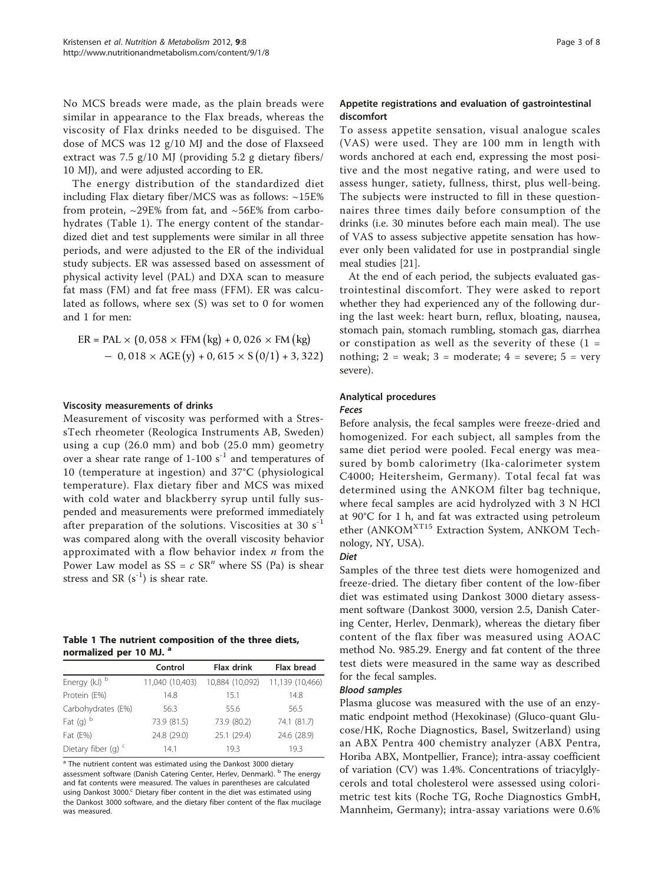<span id="page-2-0"></span>No MCS breads were made, as the plain breads were similar in appearance to the Flax breads, whereas the viscosity of Flax drinks needed to be disguised. The dose of MCS was 12 g/10 MJ and the dose of Flaxseed extract was 7.5 g/10 MJ (providing 5.2 g dietary fibers/ 10 MJ), and were adjusted according to ER.

The energy distribution of the standardized diet including Flax dietary fiber/MCS was as follows: ~15E% from protein,  $\sim$ 29E% from fat, and  $\sim$ 56E% from carbohydrates (Table 1). The energy content of the standardized diet and test supplements were similar in all three periods, and were adjusted to the ER of the individual study subjects. ER was assessed based on assessment of physical activity level (PAL) and DXA scan to measure fat mass (FM) and fat free mass (FFM). ER was calculated as follows, where sex (S) was set to 0 for women and 1 for men:

$$
ER = PAL \times (0,058 \times FFM (kg) + 0,026 \times FM (kg)
$$
  
- 0,018 \times AGE (y) + 0,615 \times S (0/1) + 3,322)

#### Viscosity measurements of drinks

Measurement of viscosity was performed with a StressTech rheometer (Reologica Instruments AB, Sweden) using a cup (26.0 mm) and bob (25.0 mm) geometry over a shear rate range of  $1-100 s^{-1}$  and temperatures of 10 (temperature at ingestion) and 37°C (physiological temperature). Flax dietary fiber and MCS was mixed with cold water and blackberry syrup until fully suspended and measurements were preformed immediately after preparation of the solutions. Viscosities at 30  $s^{-1}$ was compared along with the overall viscosity behavior approximated with a flow behavior index  $n$  from the Power Law model as  $SS = c SR^n$  where SS (Pa) is shear stress and SR  $(s^{-1})$  is shear rate.

# Table 1 The nutrient composition of the three diets, normalized per 10 MJ. a

|                       | Control         | <b>Flax drink</b> | <b>Flax bread</b> |  |
|-----------------------|-----------------|-------------------|-------------------|--|
| Energy (kJ) b         | 11,040 (10,403) | 10,884 (10,092)   | 11,139 (10,466)   |  |
| Protein (E%)          | 14.8            | 15.1              | 14.8              |  |
| Carbohydrates (E%)    | 56.3            | 55.6              | 56.5              |  |
| Fat $(g)$ b           | 73.9 (81.5)     | 73.9 (80.2)       | 74.1 (81.7)       |  |
| Fat (E%)              | 24.8 (29.0)     | 25.1 (29.4)       | 24.6 (28.9)       |  |
| Dietary fiber (q) $c$ | 14.1            | 19.3              | 19.3              |  |

<sup>a</sup> The nutrient content was estimated using the Dankost 3000 dietary assessment software (Danish Catering Center, Herlev, Denmark). <sup>b</sup> The energy and fat contents were measured. The values in parentheses are calculated using Dankost 3000.<sup>c</sup> Dietary fiber content in the diet was estimated using the Dankost 3000 software, and the dietary fiber content of the flax mucilage was measured.

# Appetite registrations and evaluation of gastrointestinal discomfort

To assess appetite sensation, visual analogue scales (VAS) were used. They are 100 mm in length with words anchored at each end, expressing the most positive and the most negative rating, and were used to assess hunger, satiety, fullness, thirst, plus well-being. The subjects were instructed to fill in these questionnaires three times daily before consumption of the drinks (i.e. 30 minutes before each main meal). The use of VAS to assess subjective appetite sensation has however only been validated for use in postprandial single meal studies [[21\]](#page-7-0).

At the end of each period, the subjects evaluated gastrointestinal discomfort. They were asked to report whether they had experienced any of the following during the last week: heart burn, reflux, bloating, nausea, stomach pain, stomach rumbling, stomach gas, diarrhea or constipation as well as the severity of these  $(1 =$ nothing;  $2 =$  weak;  $3 =$  moderate;  $4 =$  severe;  $5 =$  very severe).

# Analytical procedures

#### Feces

Before analysis, the fecal samples were freeze-dried and homogenized. For each subject, all samples from the same diet period were pooled. Fecal energy was measured by bomb calorimetry (Ika-calorimeter system C4000; Heitersheim, Germany). Total fecal fat was determined using the ANKOM filter bag technique, where fecal samples are acid hydrolyzed with 3 N HCl at 90°C for 1 h, and fat was extracted using petroleum ether (ANKOM<sup>XT15</sup> Extraction System, ANKOM Technology, NY, USA).

#### Diet

Samples of the three test diets were homogenized and freeze-dried. The dietary fiber content of the low-fiber diet was estimated using Dankost 3000 dietary assessment software (Dankost 3000, version 2.5, Danish Catering Center, Herlev, Denmark), whereas the dietary fiber content of the flax fiber was measured using AOAC method No. 985.29. Energy and fat content of the three test diets were measured in the same way as described for the fecal samples.

# Blood samples

Plasma glucose was measured with the use of an enzymatic endpoint method (Hexokinase) (Gluco-quant Glucose/HK, Roche Diagnostics, Basel, Switzerland) using an ABX Pentra 400 chemistry analyzer (ABX Pentra, Horiba ABX, Montpellier, France); intra-assay coefficient of variation (CV) was 1.4%. Concentrations of triacylglycerols and total cholesterol were assessed using colorimetric test kits (Roche TG, Roche Diagnostics GmbH, Mannheim, Germany); intra-assay variations were 0.6%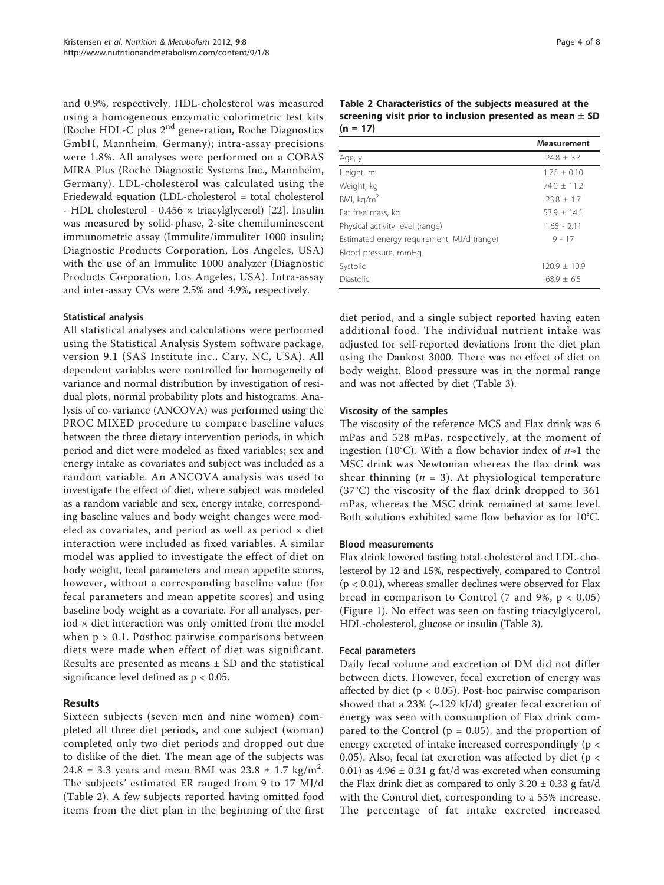and 0.9%, respectively. HDL-cholesterol was measured using a homogeneous enzymatic colorimetric test kits (Roche HDL-C plus 2nd gene-ration, Roche Diagnostics GmbH, Mannheim, Germany); intra-assay precisions were 1.8%. All analyses were performed on a COBAS MIRA Plus (Roche Diagnostic Systems Inc., Mannheim, Germany). LDL-cholesterol was calculated using the Friedewald equation (LDL-cholesterol = total cholesterol - HDL cholesterol - 0.456 × triacylglycerol) [[22](#page-7-0)]. Insulin was measured by solid-phase, 2-site chemiluminescent immunometric assay (Immulite/immuliter 1000 insulin; Diagnostic Products Corporation, Los Angeles, USA) with the use of an Immulite 1000 analyzer (Diagnostic Products Corporation, Los Angeles, USA). Intra-assay and inter-assay CVs were 2.5% and 4.9%, respectively.

# Statistical analysis

All statistical analyses and calculations were performed using the Statistical Analysis System software package, version 9.1 (SAS Institute inc., Cary, NC, USA). All dependent variables were controlled for homogeneity of variance and normal distribution by investigation of residual plots, normal probability plots and histograms. Analysis of co-variance (ANCOVA) was performed using the PROC MIXED procedure to compare baseline values between the three dietary intervention periods, in which period and diet were modeled as fixed variables; sex and energy intake as covariates and subject was included as a random variable. An ANCOVA analysis was used to investigate the effect of diet, where subject was modeled as a random variable and sex, energy intake, corresponding baseline values and body weight changes were modeled as covariates, and period as well as period  $\times$  diet interaction were included as fixed variables. A similar model was applied to investigate the effect of diet on body weight, fecal parameters and mean appetite scores, however, without a corresponding baseline value (for fecal parameters and mean appetite scores) and using baseline body weight as a covariate. For all analyses, per $iod \times diet$  interaction was only omitted from the model when  $p > 0.1$ . Posthoc pairwise comparisons between diets were made when effect of diet was significant. Results are presented as means ± SD and the statistical significance level defined as p < 0.05.

# Results

Sixteen subjects (seven men and nine women) completed all three diet periods, and one subject (woman) completed only two diet periods and dropped out due to dislike of the diet. The mean age of the subjects was 24.8  $\pm$  3.3 years and mean BMI was 23.8  $\pm$  1.7 kg/m<sup>2</sup>. The subjects' estimated ER ranged from 9 to 17 MJ/d (Table 2). A few subjects reported having omitted food items from the diet plan in the beginning of the first

Table 2 Characteristics of the subjects measured at the screening visit prior to inclusion presented as mean  $\pm$  SD  $(n = 17)$ 

|                                            | Measurement    |
|--------------------------------------------|----------------|
| Age, y                                     | $24.8 \pm 3.3$ |
| Height, m                                  | $1.76 + 0.10$  |
| Weight, kg                                 | $74.0 + 11.2$  |
| BMI, $kg/m2$                               | $23.8 \pm 1.7$ |
| Fat free mass, kg                          | $53.9 + 14.1$  |
| Physical activity level (range)            | $1.65 - 2.11$  |
| Estimated energy requirement, MJ/d (range) | $9 - 17$       |
| Blood pressure, mmHq                       |                |
| Systolic                                   | $120.9 + 10.9$ |
| Diastolic                                  | $68.9 + 6.5$   |

diet period, and a single subject reported having eaten additional food. The individual nutrient intake was adjusted for self-reported deviations from the diet plan using the Dankost 3000. There was no effect of diet on body weight. Blood pressure was in the normal range and was not affected by diet (Table [3](#page-4-0)).

#### Viscosity of the samples

The viscosity of the reference MCS and Flax drink was 6 mPas and 528 mPas, respectively, at the moment of ingestion (10°C). With a flow behavior index of  $n \approx 1$  the MSC drink was Newtonian whereas the flax drink was shear thinning ( $n = 3$ ). At physiological temperature (37°C) the viscosity of the flax drink dropped to 361 mPas, whereas the MSC drink remained at same level. Both solutions exhibited same flow behavior as for 10°C.

#### Blood measurements

Flax drink lowered fasting total-cholesterol and LDL-cholesterol by 12 and 15%, respectively, compared to Control  $(p < 0.01)$ , whereas smaller declines were observed for Flax bread in comparison to Control  $(7 \text{ and } 9\%, \text{ p } < 0.05)$ (Figure [1\)](#page-4-0). No effect was seen on fasting triacylglycerol, HDL-cholesterol, glucose or insulin (Table [3\)](#page-4-0).

#### Fecal parameters

Daily fecal volume and excretion of DM did not differ between diets. However, fecal excretion of energy was affected by diet ( $p < 0.05$ ). Post-hoc pairwise comparison showed that a 23% ( $\sim$ 129 kJ/d) greater fecal excretion of energy was seen with consumption of Flax drink compared to the Control ( $p = 0.05$ ), and the proportion of energy excreted of intake increased correspondingly (p < 0.05). Also, fecal fat excretion was affected by diet ( $p <$ 0.01) as  $4.96 \pm 0.31$  g fat/d was excreted when consuming the Flax drink diet as compared to only  $3.20 \pm 0.33$  g fat/d with the Control diet, corresponding to a 55% increase. The percentage of fat intake excreted increased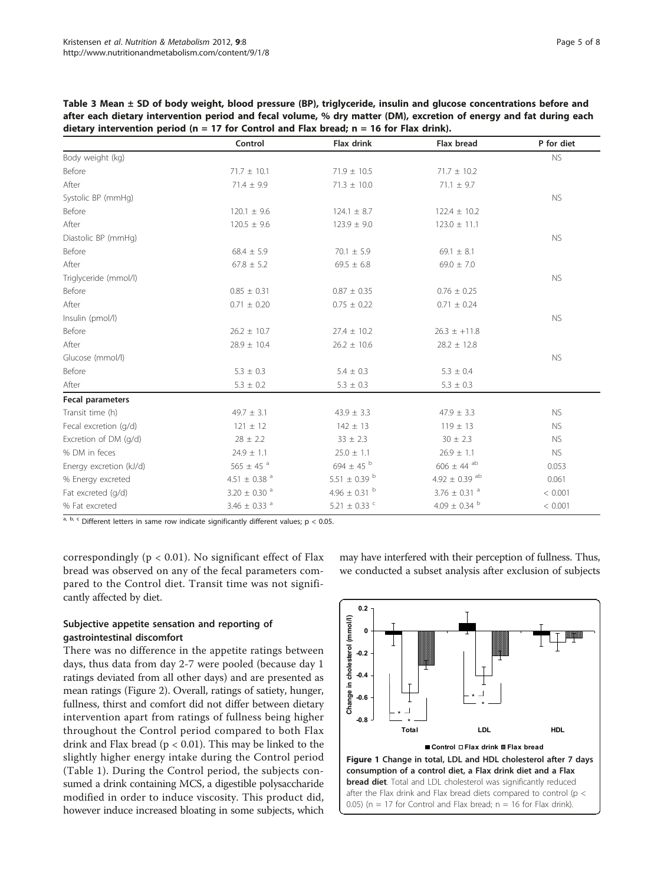<span id="page-4-0"></span>

| Table 3 Mean ± SD of body weight, blood pressure (BP), triglyceride, insulin and glucose concentrations before and  |
|---------------------------------------------------------------------------------------------------------------------|
| after each dietary intervention period and fecal volume, % dry matter (DM), excretion of energy and fat during each |
| dietary intervention period ( $n = 17$ for Control and Flax bread; $n = 16$ for Flax drink).                        |

|                         | Control                      | Flax drink                   | Flax bread                    | P for diet |
|-------------------------|------------------------------|------------------------------|-------------------------------|------------|
| Body weight (kg)        |                              |                              |                               | <b>NS</b>  |
| Before                  | $71.7 \pm 10.1$              | $71.9 \pm 10.5$              | $71.7 \pm 10.2$               |            |
| After                   | $71.4 \pm 9.9$               | $71.3 \pm 10.0$              | $71.1 \pm 9.7$                |            |
| Systolic BP (mmHg)      |                              |                              |                               | <b>NS</b>  |
| Before                  | $120.1 \pm 9.6$              | $124.1 \pm 8.7$              | $122.4 \pm 10.2$              |            |
| After                   | $120.5 \pm 9.6$              | $123.9 \pm 9.0$              | $123.0 \pm 11.1$              |            |
| Diastolic BP (mmHg)     |                              |                              |                               | <b>NS</b>  |
| Before                  | $68.4 \pm 5.9$               | $70.1 \pm 5.9$               | $69.1 \pm 8.1$                |            |
| After                   | $67.8 \pm 5.2$               | $69.5 \pm 6.8$               | $69.0 \pm 7.0$                |            |
| Triglyceride (mmol/l)   |                              |                              |                               | <b>NS</b>  |
| Before                  | $0.85 \pm 0.31$              | $0.87 \pm 0.35$              | $0.76 \pm 0.25$               |            |
| After                   | $0.71 \pm 0.20$              | $0.75 \pm 0.22$              | $0.71 \pm 0.24$               |            |
| Insulin (pmol/l)        |                              |                              |                               | <b>NS</b>  |
| Before                  | $26.2 \pm 10.7$              | $27.4 \pm 10.2$              | $26.3 \pm +11.8$              |            |
| After                   | $28.9 \pm 10.4$              | $26.2 \pm 10.6$              | $28.2 \pm 12.8$               |            |
| Glucose (mmol/l)        |                              |                              |                               | <b>NS</b>  |
| Before                  | $5.3 \pm 0.3$                | $5.4 \pm 0.3$                | $5.3 \pm 0.4$                 |            |
| After                   | $5.3 \pm 0.2$                | $5.3 \pm 0.3$                | $5.3 \pm 0.3$                 |            |
| <b>Fecal parameters</b> |                              |                              |                               |            |
| Transit time (h)        | $49.7 \pm 3.1$               | $43.9 \pm 3.3$               | $47.9 \pm 3.3$                | <b>NS</b>  |
| Fecal excretion (g/d)   | $121 \pm 12$                 | $142 \pm 13$                 | $119 \pm 13$                  | <b>NS</b>  |
| Excretion of DM (g/d)   | $28 \pm 2.2$                 | $33 \pm 2.3$                 | $30 \pm 2.3$                  | <b>NS</b>  |
| % DM in feces           | $24.9 \pm 1.1$               | $25.0 \pm 1.1$               | $26.9 \pm 1.1$                | <b>NS</b>  |
| Energy excretion (kJ/d) | 565 $\pm$ 45 $^{a}$          | 694 $\pm$ 45 $^{\circ}$      | $606 \pm 44$ <sup>ab</sup>    | 0.053      |
| % Energy excreted       | 4.51 $\pm$ 0.38 <sup>a</sup> | 5.51 $\pm$ 0.39 <sup>b</sup> | 4.92 $\pm$ 0.39 <sup>ab</sup> | 0.061      |
| Fat excreted (q/d)      | $3.20 \pm 0.30$ <sup>a</sup> | 4.96 $\pm$ 0.31 $^{\rm b}$   | 3.76 $\pm$ 0.31 $^{\circ}$    | < 0.001    |
| % Fat excreted          | 3.46 $\pm$ 0.33 $^{a}$       | 5.21 $\pm$ 0.33 $\degree$    | 4.09 $\pm$ 0.34 <sup>b</sup>  | < 0.001    |

 $a, b, c$  Different letters in same row indicate significantly different values;  $p < 0.05$ .

correspondingly ( $p < 0.01$ ). No significant effect of Flax bread was observed on any of the fecal parameters compared to the Control diet. Transit time was not significantly affected by diet.

# Subjective appetite sensation and reporting of gastrointestinal discomfort

There was no difference in the appetite ratings between days, thus data from day 2-7 were pooled (because day 1 ratings deviated from all other days) and are presented as mean ratings (Figure [2](#page-5-0)). Overall, ratings of satiety, hunger, fullness, thirst and comfort did not differ between dietary intervention apart from ratings of fullness being higher throughout the Control period compared to both Flax drink and Flax bread ( $p < 0.01$ ). This may be linked to the slightly higher energy intake during the Control period (Table [1\)](#page-2-0). During the Control period, the subjects consumed a drink containing MCS, a digestible polysaccharide modified in order to induce viscosity. This product did, however induce increased bloating in some subjects, which

**0.2** Change in cholesterol (mmol/l) **Change in cholesterol (mmol/l) 0 -0.2 -0.4**

may have interfered with their perception of fullness. Thus, we conducted a subset analysis after exclusion of subjects

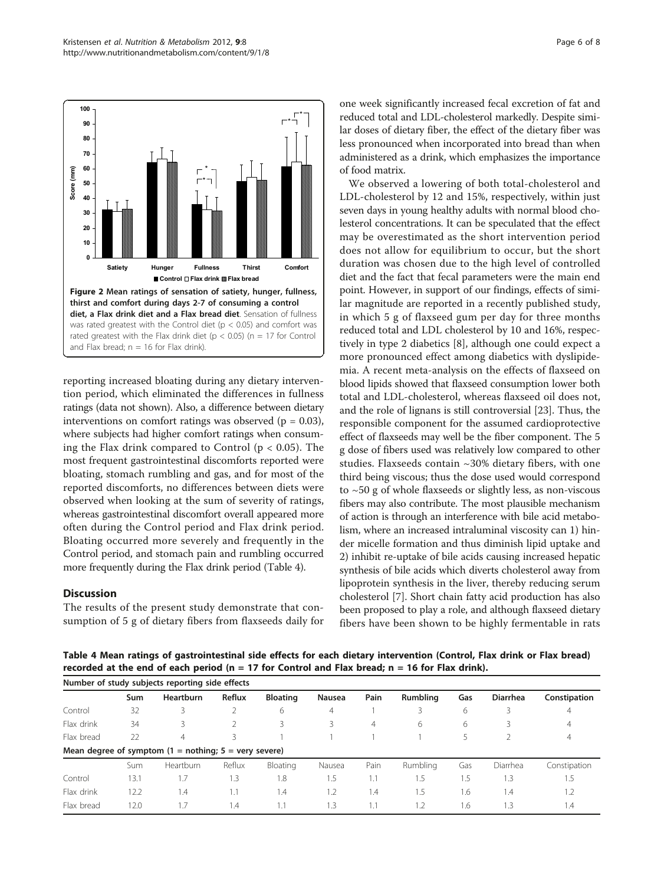<span id="page-5-0"></span>

reporting increased bloating during any dietary intervention period, which eliminated the differences in fullness ratings (data not shown). Also, a difference between dietary interventions on comfort ratings was observed ( $p = 0.03$ ), where subjects had higher comfort ratings when consuming the Flax drink compared to Control ( $p < 0.05$ ). The most frequent gastrointestinal discomforts reported were bloating, stomach rumbling and gas, and for most of the reported discomforts, no differences between diets were observed when looking at the sum of severity of ratings, whereas gastrointestinal discomfort overall appeared more often during the Control period and Flax drink period. Bloating occurred more severely and frequently in the Control period, and stomach pain and rumbling occurred more frequently during the Flax drink period (Table 4).

# **Discussion**

The results of the present study demonstrate that consumption of 5 g of dietary fibers from flaxseeds daily for one week significantly increased fecal excretion of fat and reduced total and LDL-cholesterol markedly. Despite similar doses of dietary fiber, the effect of the dietary fiber was less pronounced when incorporated into bread than when administered as a drink, which emphasizes the importance of food matrix.

We observed a lowering of both total-cholesterol and LDL-cholesterol by 12 and 15%, respectively, within just seven days in young healthy adults with normal blood cholesterol concentrations. It can be speculated that the effect may be overestimated as the short intervention period does not allow for equilibrium to occur, but the short duration was chosen due to the high level of controlled diet and the fact that fecal parameters were the main end point. However, in support of our findings, effects of similar magnitude are reported in a recently published study, in which 5 g of flaxseed gum per day for three months reduced total and LDL cholesterol by 10 and 16%, respectively in type 2 diabetics [[8\]](#page-7-0), although one could expect a more pronounced effect among diabetics with dyslipidemia. A recent meta-analysis on the effects of flaxseed on blood lipids showed that flaxseed consumption lower both total and LDL-cholesterol, whereas flaxseed oil does not, and the role of lignans is still controversial [\[23](#page-7-0)]. Thus, the responsible component for the assumed cardioprotective effect of flaxseeds may well be the fiber component. The 5 g dose of fibers used was relatively low compared to other studies. Flaxseeds contain ~30% dietary fibers, with one third being viscous; thus the dose used would correspond to ~50 g of whole flaxseeds or slightly less, as non-viscous fibers may also contribute. The most plausible mechanism of action is through an interference with bile acid metabolism, where an increased intraluminal viscosity can 1) hinder micelle formation and thus diminish lipid uptake and 2) inhibit re-uptake of bile acids causing increased hepatic synthesis of bile acids which diverts cholesterol away from lipoprotein synthesis in the liver, thereby reducing serum cholesterol [\[7](#page-7-0)]. Short chain fatty acid production has also been proposed to play a role, and although flaxseed dietary fibers have been shown to be highly fermentable in rats

Table 4 Mean ratings of gastrointestinal side effects for each dietary intervention (Control, Flax drink or Flax bread) recorded at the end of each period (n = 17 for Control and Flax bread;  $n = 16$  for Flax drink).

| Number of study subjects reporting side effects |      |                                                                            |        |                 |                |      |          |     |                 |              |
|-------------------------------------------------|------|----------------------------------------------------------------------------|--------|-----------------|----------------|------|----------|-----|-----------------|--------------|
|                                                 | Sum  | <b>Heartburn</b>                                                           | Reflux | <b>Bloating</b> | Nausea         | Pain | Rumbling | Gas | <b>Diarrhea</b> | Constipation |
| Control                                         | 32   | 3                                                                          |        | 6               | $\overline{4}$ |      | 3        | 6   | 3               | 4            |
| Flax drink                                      | 34   | 3                                                                          |        | 3               | 3              | 4    | 6        | 6   | 3               | 4            |
| Flax bread                                      | 22   | 4                                                                          | ₹      |                 |                |      |          |     |                 | 4            |
|                                                 |      | Mean degree of symptom $(1 = \text{nothing})$ ; $5 = \text{very severe}$ ) |        |                 |                |      |          |     |                 |              |
|                                                 | Sum  | <b>Heartburn</b>                                                           | Reflux | Bloating        | Nausea         | Pain | Rumbling | Gas | Diarrhea        | Constipation |
| Control                                         | 13.1 |                                                                            | .3     | 1.8             | 1.5            | 1.1  | 1.5      | 1.5 | 1.3             | 1.5          |
| Flax drink                                      | 12.2 | 1.4                                                                        |        | 1.4             | 1.2            | 1.4  | 1.5      | 1.6 | 1.4             | 1.2          |
| Flax bread                                      | 12.0 |                                                                            | .4     | 1.1             | 1.3            | 1.1  | 1.2      | 1.6 | 1.3             | 1.4          |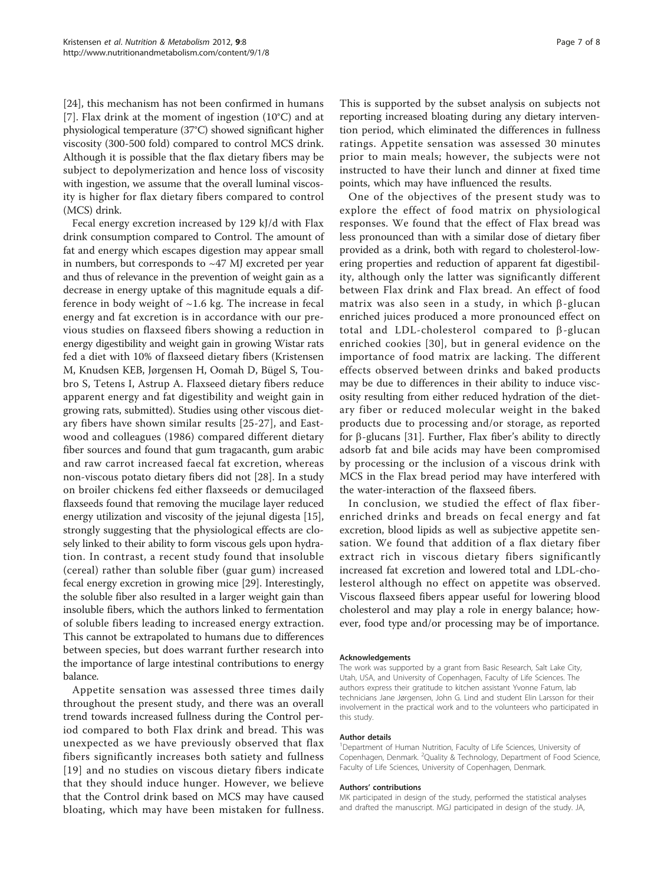[[24\]](#page-7-0), this mechanism has not been confirmed in humans [[7\]](#page-7-0). Flax drink at the moment of ingestion  $(10^{\circ}C)$  and at physiological temperature (37°C) showed significant higher viscosity (300-500 fold) compared to control MCS drink. Although it is possible that the flax dietary fibers may be subject to depolymerization and hence loss of viscosity with ingestion, we assume that the overall luminal viscosity is higher for flax dietary fibers compared to control (MCS) drink.

Fecal energy excretion increased by 129 kJ/d with Flax drink consumption compared to Control. The amount of fat and energy which escapes digestion may appear small in numbers, but corresponds to  $\sim$  47 MJ excreted per year and thus of relevance in the prevention of weight gain as a decrease in energy uptake of this magnitude equals a difference in body weight of  $\sim$ 1.6 kg. The increase in fecal energy and fat excretion is in accordance with our previous studies on flaxseed fibers showing a reduction in energy digestibility and weight gain in growing Wistar rats fed a diet with 10% of flaxseed dietary fibers (Kristensen M, Knudsen KEB, Jørgensen H, Oomah D, Bügel S, Toubro S, Tetens I, Astrup A. Flaxseed dietary fibers reduce apparent energy and fat digestibility and weight gain in growing rats, submitted). Studies using other viscous dietary fibers have shown similar results [[25](#page-7-0)-[27](#page-7-0)], and Eastwood and colleagues (1986) compared different dietary fiber sources and found that gum tragacanth, gum arabic and raw carrot increased faecal fat excretion, whereas non-viscous potato dietary fibers did not [\[28](#page-7-0)]. In a study on broiler chickens fed either flaxseeds or demucilaged flaxseeds found that removing the mucilage layer reduced energy utilization and viscosity of the jejunal digesta [\[15](#page-7-0)], strongly suggesting that the physiological effects are closely linked to their ability to form viscous gels upon hydration. In contrast, a recent study found that insoluble (cereal) rather than soluble fiber (guar gum) increased fecal energy excretion in growing mice [[29\]](#page-7-0). Interestingly, the soluble fiber also resulted in a larger weight gain than insoluble fibers, which the authors linked to fermentation of soluble fibers leading to increased energy extraction. This cannot be extrapolated to humans due to differences between species, but does warrant further research into the importance of large intestinal contributions to energy balance.

Appetite sensation was assessed three times daily throughout the present study, and there was an overall trend towards increased fullness during the Control period compared to both Flax drink and bread. This was unexpected as we have previously observed that flax fibers significantly increases both satiety and fullness [[19\]](#page-7-0) and no studies on viscous dietary fibers indicate that they should induce hunger. However, we believe that the Control drink based on MCS may have caused bloating, which may have been mistaken for fullness.

This is supported by the subset analysis on subjects not reporting increased bloating during any dietary intervention period, which eliminated the differences in fullness ratings. Appetite sensation was assessed 30 minutes prior to main meals; however, the subjects were not instructed to have their lunch and dinner at fixed time points, which may have influenced the results.

One of the objectives of the present study was to explore the effect of food matrix on physiological responses. We found that the effect of Flax bread was less pronounced than with a similar dose of dietary fiber provided as a drink, both with regard to cholesterol-lowering properties and reduction of apparent fat digestibility, although only the latter was significantly different between Flax drink and Flax bread. An effect of food matrix was also seen in a study, in which  $\beta$ -glucan enriched juices produced a more pronounced effect on total and LDL-cholesterol compared to  $\beta$ -glucan enriched cookies [[30](#page-7-0)], but in general evidence on the importance of food matrix are lacking. The different effects observed between drinks and baked products may be due to differences in their ability to induce viscosity resulting from either reduced hydration of the dietary fiber or reduced molecular weight in the baked products due to processing and/or storage, as reported for  $\beta$ -glucans [[31\]](#page-7-0). Further, Flax fiber's ability to directly adsorb fat and bile acids may have been compromised by processing or the inclusion of a viscous drink with MCS in the Flax bread period may have interfered with the water-interaction of the flaxseed fibers.

In conclusion, we studied the effect of flax fiberenriched drinks and breads on fecal energy and fat excretion, blood lipids as well as subjective appetite sensation. We found that addition of a flax dietary fiber extract rich in viscous dietary fibers significantly increased fat excretion and lowered total and LDL-cholesterol although no effect on appetite was observed. Viscous flaxseed fibers appear useful for lowering blood cholesterol and may play a role in energy balance; however, food type and/or processing may be of importance.

#### Acknowledgements

The work was supported by a grant from Basic Research, Salt Lake City, Utah, USA, and University of Copenhagen, Faculty of Life Sciences. The authors express their gratitude to kitchen assistant Yvonne Fatum, lab technicians Jane Jørgensen, John G. Lind and student Elin Larsson for their involvement in the practical work and to the volunteers who participated in this study.

#### Author details

<sup>1</sup>Department of Human Nutrition, Faculty of Life Sciences, University of Copenhagen, Denmark. <sup>2</sup>Quality & Technology, Department of Food Science, Faculty of Life Sciences, University of Copenhagen, Denmark.

#### Authors' contributions

MK participated in design of the study, performed the statistical analyses and drafted the manuscript. MGJ participated in design of the study. JA,